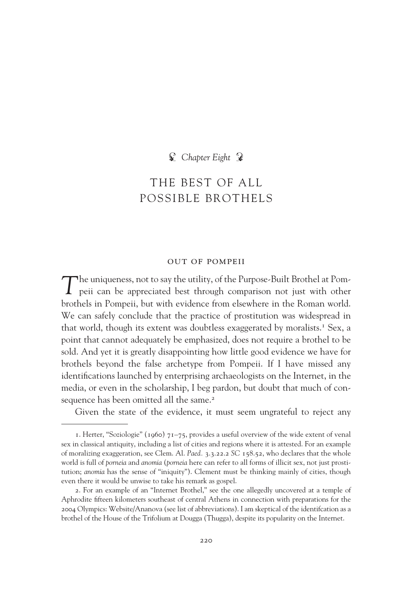$\mathcal{C}$  Chapter Eight  $\mathcal{D}$ 

# THE BEST OF ALL POSSIBLE BROTHELS

### out of pompeii

The uniqueness, not to say the utility, of the Purpose-Built Brothel at Pom-<br>peii can be appreciated best through comparison not just with other brothels in Pompeii, but with evidence from elsewhere in the Roman world. We can safely conclude that the practice of prostitution was widespread in that world, though its extent was doubtless exaggerated by moralists.<sup>1</sup> Sex, a point that cannot adequately be emphasized, does not require a brothel to be sold. And yet it is greatly disappointing how little good evidence we have for brothels beyond the false archetype from Pompeii. If I have missed any identifications launched by enterprising archaeologists on the Internet, in the media, or even in the scholarship, I beg pardon, but doubt that much of consequence has been omitted all the same.<sup>2</sup>

Given the state of the evidence, it must seem ungrateful to reject any

<sup>1.</sup> Herter, "Soziologie" (1960) 71–75, provides a useful overview of the wide extent of venal sex in classical antiquity, including a list of cities and regions where it is attested. For an example of moralizing exaggeration, see Clem. Al. *Paed.* 3.3.22.2 *SC* 158.52, who declares that the whole world is full of *porneia* and *anomia* (*porneia* here can refer to all forms of illicit sex, not just prostitution; *anomia* has the sense of "iniquity"). Clement must be thinking mainly of cities, though even there it would be unwise to take his remark as gospel.

<sup>2.</sup> For an example of an "Internet Brothel," see the one allegedly uncovered at a temple of Aphrodite fifteen kilometers southeast of central Athens in connection with preparations for the 2004 Olympics: Website/Ananova (see list of abbreviations). I am skeptical of the identifcation as a brothel of the House of the Trifolium at Dougga (Thugga), despite its popularity on the Internet.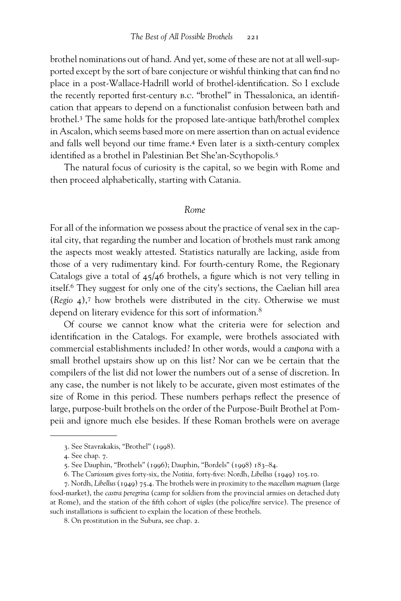brothel nominations out of hand. And yet, some of these are not at all well-supported except by the sort of bare conjecture or wishful thinking that can find no place in a post-Wallace-Hadrill world of brothel-identification. So I exclude the recently reported first-century B.c. "brothel" in Thessalonica, an identification that appears to depend on a functionalist confusion between bath and brothel.3 The same holds for the proposed late-antique bath/brothel complex in Ascalon, which seems based more on mere assertion than on actual evidence and falls well beyond our time frame.4 Even later is a sixth-century complex identified as a brothel in Palestinian Bet She'an-Scythopolis.<sup>5</sup>

The natural focus of curiosity is the capital, so we begin with Rome and then proceed alphabetically, starting with Catania.

### *Rome*

For all of the information we possess about the practice of venal sex in the capital city, that regarding the number and location of brothels must rank among the aspects most weakly attested. Statistics naturally are lacking, aside from those of a very rudimentary kind. For fourth-century Rome, the Regionary Catalogs give a total of  $45/46$  brothels, a figure which is not very telling in itself.6 They suggest for only one of the city's sections, the Caelian hill area (*Regio* 4),7 how brothels were distributed in the city. Otherwise we must depend on literary evidence for this sort of information.<sup>8</sup>

Of course we cannot know what the criteria were for selection and identification in the Catalogs. For example, were brothels associated with commercial establishments included? In other words, would a *caupona* with a small brothel upstairs show up on this list? Nor can we be certain that the compilers of the list did not lower the numbers out of a sense of discretion. In any case, the number is not likely to be accurate, given most estimates of the size of Rome in this period. These numbers perhaps reflect the presence of large, purpose-built brothels on the order of the Purpose-Built Brothel at Pompeii and ignore much else besides. If these Roman brothels were on average

<sup>3.</sup> See Stavrakakis, "Brothel" (1998).

<sup>4.</sup> See chap. 7.

<sup>5.</sup> See Dauphin, "Brothels" (1996); Dauphin, "Bordels" (1998) 183–84.

<sup>6.</sup> The *Curiosum* gives forty-six, the *Notitia*, forty-five: Nordh, *Libellus* (1949) 105.10.

<sup>7.</sup> Nordh, *Libellus* (1949) 75.4. The brothels were in proximity to the *macellum magnum* (large food-market), the *castra peregrina* (camp for soldiers from the provincial armies on detached duty at Rome), and the station of the fifth cohort of *vigiles* (the police/fire service). The presence of such installations is sufficient to explain the location of these brothels.

<sup>8.</sup> On prostitution in the Subura, see chap. 2.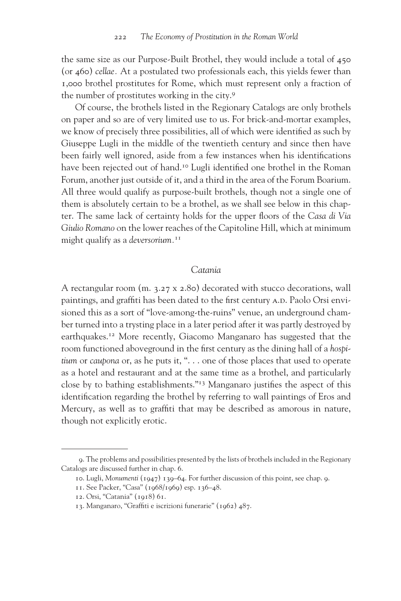the same size as our Purpose-Built Brothel, they would include a total of 450 (or 460) *cellae.* At a postulated two professionals each, this yields fewer than 1,000 brothel prostitutes for Rome, which must represent only a fraction of the number of prostitutes working in the city.9

Of course, the brothels listed in the Regionary Catalogs are only brothels on paper and so are of very limited use to us. For brick-and-mortar examples, we know of precisely three possibilities, all of which were identified as such by Giuseppe Lugli in the middle of the twentieth century and since then have been fairly well ignored, aside from a few instances when his identifications have been rejected out of hand.<sup>10</sup> Lugli identified one brothel in the Roman Forum, another just outside of it, and a third in the area of the Forum Boarium. All three would qualify as purpose-built brothels, though not a single one of them is absolutely certain to be a brothel, as we shall see below in this chapter. The same lack of certainty holds for the upper floors of the *Casa di Via Giulio Romano* on the lower reaches of the Capitoline Hill, which at minimum might qualify as a *deversorium.*<sup>11</sup>

## *Catania*

A rectangular room (m. 3.27 x 2.80) decorated with stucco decorations, wall paintings, and graffiti has been dated to the first century A.D. Paolo Orsi envisioned this as a sort of "love-among-the-ruins" venue, an underground chamber turned into a trysting place in a later period after it was partly destroyed by earthquakes.12 More recently, Giacomo Manganaro has suggested that the room functioned aboveground in the first century as the dining hall of a *hospitium* or *caupona* or, as he puts it, ". . . one of those places that used to operate as a hotel and restaurant and at the same time as a brothel, and particularly close by to bathing establishments."<sup>13</sup> Manganaro justifies the aspect of this identification regarding the brothel by referring to wall paintings of Eros and Mercury, as well as to graffiti that may be described as amorous in nature, though not explicitly erotic.

<sup>9.</sup> The problems and possibilities presented by the lists of brothels included in the Regionary Catalogs are discussed further in chap. 6.

<sup>10.</sup> Lugli, *Monumenti* (1947) 139–64. For further discussion of this point, see chap. 9.

<sup>11.</sup> See Packer, "Casa" (1968/1969) esp. 136–48.

<sup>12.</sup> Orsi, "Catania" (1918) 61.

<sup>13.</sup> Manganaro, "Graffiti e iscrizioni funerarie" (1962) 487.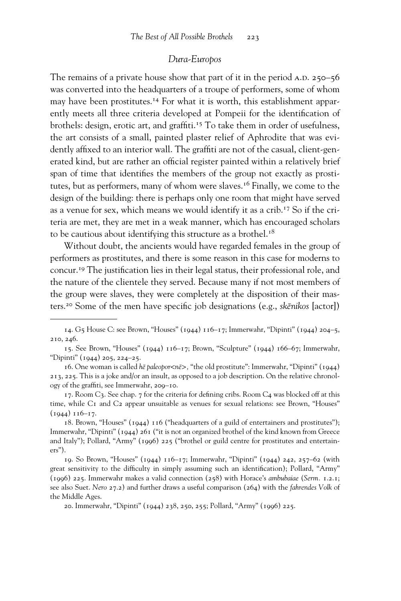### *Dura-Europos*

The remains of a private house show that part of it in the period  $A.D. 250-56$ was converted into the headquarters of a troupe of performers, some of whom may have been prostitutes.<sup>14</sup> For what it is worth, this establishment apparently meets all three criteria developed at Pompeii for the identification of brothels: design, erotic art, and graffiti.<sup>15</sup> To take them in order of usefulness, the art consists of a small, painted plaster relief of Aphrodite that was evidently affixed to an interior wall. The graffiti are not of the casual, client-generated kind, but are rather an official register painted within a relatively brief span of time that identifies the members of the group not exactly as prostitutes, but as performers, many of whom were slaves.<sup>16</sup> Finally, we come to the design of the building: there is perhaps only one room that might have served as a venue for sex, which means we would identify it as a crib.<sup>17</sup> So if the criteria are met, they are met in a weak manner, which has encouraged scholars to be cautious about identifying this structure as a brothel.<sup>18</sup>

Without doubt, the ancients would have regarded females in the group of performers as prostitutes, and there is some reason in this case for moderns to concur.<sup>19</sup> The justification lies in their legal status, their professional role, and the nature of the clientele they served. Because many if not most members of the group were slaves, they were completely at the disposition of their masters.<sup>20</sup> Some of the men have specific job designations (e.g., *skenikos* [actor])

16. One woman is called *hē paleopor<nē>*, "the old prostitute": Immerwahr, "Dipinti" (1944) 213, 225. This is a joke and/or an insult, as opposed to a job description. On the relative chronology of the graffiti, see Immerwahr, 200-10.

17. Room C3. See chap. 7 for the criteria for defining cribs. Room C4 was blocked off at this time, while C1 and C2 appear unsuitable as venues for sexual relations: see Brown, "Houses" (1944) 116–17.

18. Brown, "Houses" (1944) 116 ("headquarters of a guild of entertainers and prostitutes"); Immerwahr, "Dipinti" (1944) 261 ("it is not an organized brothel of the kind known from Greece and Italy"); Pollard, "Army" (1996) 225 ("brothel or guild centre for prostitutes and entertainers").

19. So Brown, "Houses" (1944) 116–17; Immerwahr, "Dipinti" (1944) 242, 257–62 (with great sensitivity to the difficulty in simply assuming such an identification); Pollard, "Army" (1996) 225. Immerwahr makes a valid connection (258) with Horace's *ambubaiae* (*Serm.* 1.2.1; see also Suet. *Nero* 27.2) and further draws a useful comparison (264) with the *fahrendes Volk* of the Middle Ages.

20. Immerwahr, "Dipinti" (1944) 238, 250, 255; Pollard, "Army" (1996) 225.

<sup>14.</sup> G5 House C: see Brown, "Houses" (1944) 116–17; Immerwahr, "Dipinti" (1944) 204–5, 210, 246.

<sup>15.</sup> See Brown, "Houses" (1944) 116–17; Brown, "Sculpture" (1944) 166–67; Immerwahr, "Dipinti" (1944) 205, 224–25.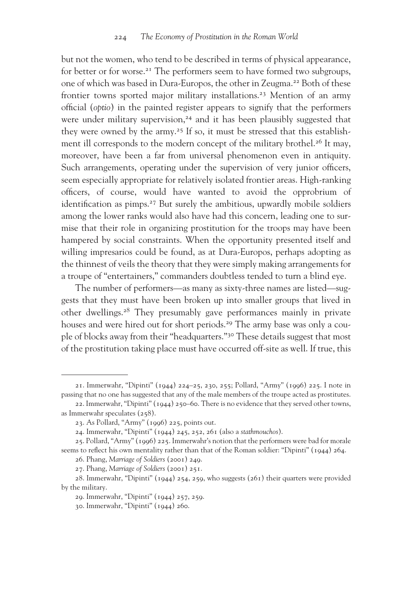but not the women, who tend to be described in terms of physical appearance, for better or for worse.<sup>21</sup> The performers seem to have formed two subgroups, one of which was based in Dura-Europos, the other in Zeugma.22 Both of these frontier towns sported major military installations.<sup>23</sup> Mention of an army official (*optio*) in the painted register appears to signify that the performers were under military supervision,<sup>24</sup> and it has been plausibly suggested that they were owned by the army.<sup>25</sup> If so, it must be stressed that this establishment ill corresponds to the modern concept of the military brothel.<sup>26</sup> It may, moreover, have been a far from universal phenomenon even in antiquity. Such arrangements, operating under the supervision of very junior officers, seem especially appropriate for relatively isolated frontier areas. High-ranking officers, of course, would have wanted to avoid the opprobrium of identification as pimps.<sup>27</sup> But surely the ambitious, upwardly mobile soldiers among the lower ranks would also have had this concern, leading one to surmise that their role in organizing prostitution for the troops may have been hampered by social constraints. When the opportunity presented itself and willing impresarios could be found, as at Dura-Europos, perhaps adopting as the thinnest of veils the theory that they were simply making arrangements for a troupe of "entertainers," commanders doubtless tended to turn a blind eye.

The number of performers—as many as sixty-three names are listed—suggests that they must have been broken up into smaller groups that lived in other dwellings.28 They presumably gave performances mainly in private houses and were hired out for short periods.<sup>29</sup> The army base was only a couple of blocks away from their "headquarters."30 These details suggest that most of the prostitution taking place must have occurred off-site as well. If true, this

<sup>21.</sup> Immerwahr, "Dipinti" (1944) 224–25, 230, 255; Pollard, "Army" (1996) 225. I note in passing that no one has suggested that any of the male members of the troupe acted as prostitutes.

<sup>22.</sup> Immerwahr, "Dipinti" (1944) 250–60. There is no evidence that they served other towns, as Immerwahr speculates (258).

<sup>23.</sup> As Pollard, "Army" (1996) 225, points out.

<sup>24.</sup> Immerwahr, "Dipinti" (1944) 245, 252, 261 (also a *stathmouchos*).

<sup>25.</sup> Pollard, "Army" (1996) 225. Immerwahr's notion that the performers were bad for morale seems to reflect his own mentality rather than that of the Roman soldier: "Dipinti" (1944) 264.

<sup>26.</sup> Phang, *Marriage of Soldiers* (2001) 249.

<sup>27.</sup> Phang, *Marriage of Soldiers* (2001) 251.

<sup>28.</sup> Immerwahr, "Dipinti" (1944) 254, 259, who suggests (261) their quarters were provided by the military.

<sup>29.</sup> Immerwahr, "Dipinti" (1944) 257, 259.

<sup>30.</sup> Immerwahr, "Dipinti" (1944) 260.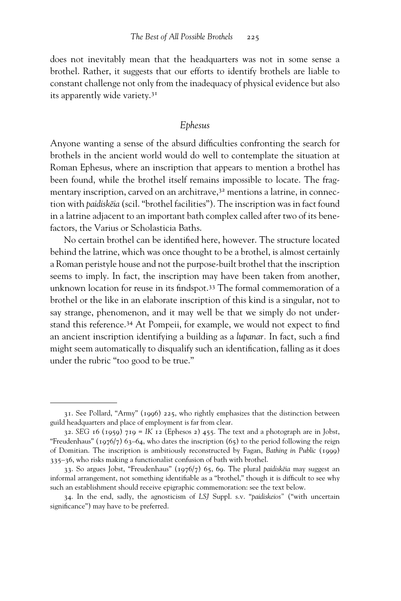does not inevitably mean that the headquarters was not in some sense a brothel. Rather, it suggests that our efforts to identify brothels are liable to constant challenge not only from the inadequacy of physical evidence but also its apparently wide variety.31

# *Ephesus*

Anyone wanting a sense of the absurd difficulties confronting the search for brothels in the ancient world would do well to contemplate the situation at Roman Ephesus, where an inscription that appears to mention a brothel has been found, while the brothel itself remains impossible to locate. The fragmentary inscription, carved on an architrave,<sup>32</sup> mentions a latrine, in connection with *paidiskẽia* (scil. "brothel facilities"). The inscription was in fact found in a latrine adjacent to an important bath complex called after two of its benefactors, the Varius or Scholasticia Baths.

No certain brothel can be identified here, however. The structure located behind the latrine, which was once thought to be a brothel, is almost certainly a Roman peristyle house and not the purpose-built brothel that the inscription seems to imply. In fact, the inscription may have been taken from another, unknown location for reuse in its findspot.<sup>33</sup> The formal commemoration of a brothel or the like in an elaborate inscription of this kind is a singular, not to say strange, phenomenon, and it may well be that we simply do not understand this reference.<sup>34</sup> At Pompeii, for example, we would not expect to find an ancient inscription identifying a building as a *lupanar*. In fact, such a find might seem automatically to disqualify such an identification, falling as it does under the rubric "too good to be true."

<sup>31.</sup> See Pollard, "Army" (1996) 225, who rightly emphasizes that the distinction between guild headquarters and place of employment is far from clear.

<sup>32.</sup> *SEG* 16 (1959) 719 = *IK* 12 (Ephesos 2) 455. The text and a photograph are in Jobst, "Freudenhaus" (1976/7) 63–64, who dates the inscription (65) to the period following the reign of Domitian. The inscription is ambitiously reconstructed by Fagan, *Bathing in Public* (1999) 335–36, who risks making a functionalist confusion of bath with brothel.

<sup>33.</sup> So argues Jobst, "Freudenhaus" (1976/7) 65, 69. The plural *paidiskēia* may suggest an informal arrangement, not something identifiable as a "brothel," though it is difficult to see why such an establishment should receive epigraphic commemoration: see the text below.

<sup>34.</sup> In the end, sadly, the agnosticism of *LSJ* Suppl. s.v. "*paidiskeios"* ("with uncertain significance") may have to be preferred.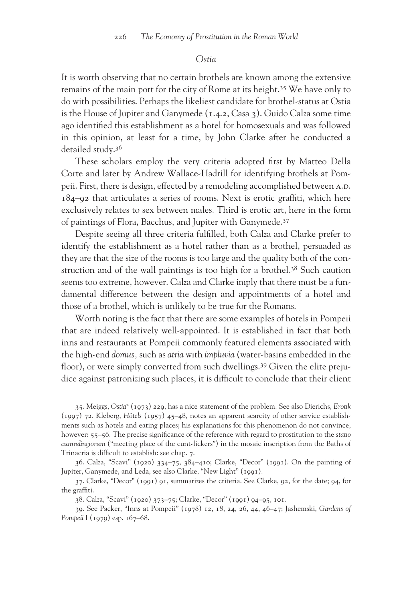### *Ostia*

It is worth observing that no certain brothels are known among the extensive remains of the main port for the city of Rome at its height.35 We have only to do with possibilities. Perhaps the likeliest candidate for brothel-status at Ostia is the House of Jupiter and Ganymede (1.4.2, Casa 3). Guido Calza some time ago identified this establishment as a hotel for homosexuals and was followed in this opinion, at least for a time, by John Clarke after he conducted a detailed study.36

These scholars employ the very criteria adopted first by Matteo Della Corte and later by Andrew Wallace-Hadrill for identifying brothels at Pompeii. First, there is design, effected by a remodeling accomplished between A.D.  $184-92$  that articulates a series of rooms. Next is erotic graffiti, which here exclusively relates to sex between males. Third is erotic art, here in the form of paintings of Flora, Bacchus, and Jupiter with Ganymede.37

Despite seeing all three criteria fulfilled, both Calza and Clarke prefer to identify the establishment as a hotel rather than as a brothel, persuaded as they are that the size of the rooms is too large and the quality both of the construction and of the wall paintings is too high for a brothel.38 Such caution seems too extreme, however. Calza and Clarke imply that there must be a fundamental difference between the design and appointments of a hotel and those of a brothel, which is unlikely to be true for the Romans.

Worth noting is the fact that there are some examples of hotels in Pompeii that are indeed relatively well-appointed. It is established in fact that both inns and restaurants at Pompeii commonly featured elements associated with the high-end *domus,* such as *atria* with *impluvia* (water-basins embedded in the floor), or were simply converted from such dwellings.<sup>39</sup> Given the elite prejudice against patronizing such places, it is difficult to conclude that their client

<sup>35.</sup> Meiggs, *Ostia*<sup>2</sup> (1973) 229, has a nice statement of the problem. See also Dierichs, *Erotik* (1997) 72. Kleberg, *Hôtels* (1957) 45–48, notes an apparent scarcity of other service establishments such as hotels and eating places; his explanations for this phenomenon do not convince, however: 55–56. The precise significance of the reference with regard to prostitution to the *statio cunnulingiorum* ("meeting place of the cunt-lickers") in the mosaic inscription from the Baths of Trinacria is difficult to establish: see chap. 7.

<sup>36.</sup> Calza, "Scavi" (1920) 334–75, 384–410; Clarke, "Decor" (1991). On the painting of Jupiter, Ganymede, and Leda, see also Clarke, "New Light" (1991).

<sup>37.</sup> Clarke, "Decor" (1991) 91, summarizes the criteria. See Clarke, 92, for the date; 94, for the graffiti.

<sup>38.</sup> Calza, "Scavi" (1920) 373–75; Clarke, "Decor" (1991) 94–95, 101.

<sup>39.</sup> See Packer, "Inns at Pompeii" (1978) 12, 18, 24, 26, 44, 46–47; Jashemski, *Gardens of Pompeii* I (1979) esp. 167–68.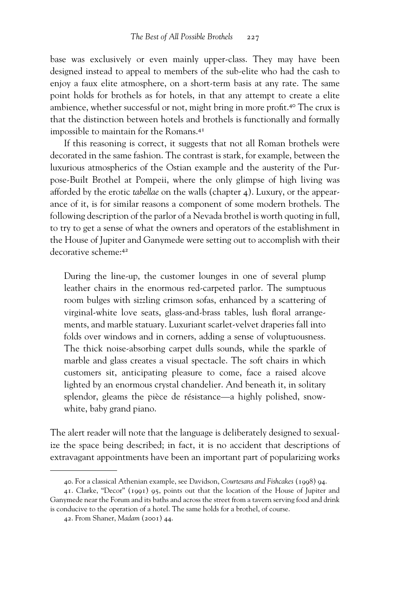base was exclusively or even mainly upper-class. They may have been designed instead to appeal to members of the sub-elite who had the cash to enjoy a faux elite atmosphere, on a short-term basis at any rate. The same point holds for brothels as for hotels, in that any attempt to create a elite ambience, whether successful or not, might bring in more profit.<sup>40</sup> The crux is that the distinction between hotels and brothels is functionally and formally impossible to maintain for the Romans.41

If this reasoning is correct, it suggests that not all Roman brothels were decorated in the same fashion. The contrast is stark, for example, between the luxurious atmospherics of the Ostian example and the austerity of the Purpose-Built Brothel at Pompeii, where the only glimpse of high living was afforded by the erotic *tabellae* on the walls (chapter 4). Luxury, or the appearance of it, is for similar reasons a component of some modern brothels. The following description of the parlor of a Nevada brothel is worth quoting in full, to try to get a sense of what the owners and operators of the establishment in the House of Jupiter and Ganymede were setting out to accomplish with their decorative scheme:42

During the line-up, the customer lounges in one of several plump leather chairs in the enormous red-carpeted parlor. The sumptuous room bulges with sizzling crimson sofas, enhanced by a scattering of virginal-white love seats, glass-and-brass tables, lush floral arrangements, and marble statuary. Luxuriant scarlet-velvet draperies fall into folds over windows and in corners, adding a sense of voluptuousness. The thick noise-absorbing carpet dulls sounds, while the sparkle of marble and glass creates a visual spectacle. The soft chairs in which customers sit, anticipating pleasure to come, face a raised alcove lighted by an enormous crystal chandelier. And beneath it, in solitary splendor, gleams the pièce de résistance—a highly polished, snowwhite, baby grand piano.

The alert reader will note that the language is deliberately designed to sexualize the space being described; in fact, it is no accident that descriptions of extravagant appointments have been an important part of popularizing works

<sup>40.</sup> For a classical Athenian example, see Davidson, *Courtesans and Fishcakes* (1998) 94.

<sup>41.</sup> Clarke, "Decor" (1991) 95, points out that the location of the House of Jupiter and Ganymede near the Forum and its baths and across the street from a tavern serving food and drink is conducive to the operation of a hotel. The same holds for a brothel, of course.

<sup>42.</sup> From Shaner, *Madam* (2001) 44.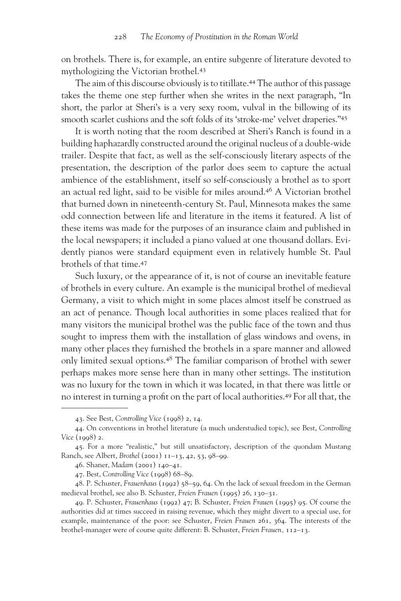on brothels. There is, for example, an entire subgenre of literature devoted to mythologizing the Victorian brothel.43

The aim of this discourse obviously is to titillate.<sup>44</sup> The author of this passage takes the theme one step further when she writes in the next paragraph, "In short, the parlor at Sheri's is a very sexy room, vulval in the billowing of its smooth scarlet cushions and the soft folds of its 'stroke-me' velvet draperies."45

It is worth noting that the room described at Sheri's Ranch is found in a building haphazardly constructed around the original nucleus of a double-wide trailer. Despite that fact, as well as the self-consciously literary aspects of the presentation, the description of the parlor does seem to capture the actual ambience of the establishment, itself so self-consciously a brothel as to sport an actual red light, said to be visible for miles around.46 A Victorian brothel that burned down in nineteenth-century St. Paul, Minnesota makes the same odd connection between life and literature in the items it featured. A list of these items was made for the purposes of an insurance claim and published in the local newspapers; it included a piano valued at one thousand dollars. Evidently pianos were standard equipment even in relatively humble St. Paul brothels of that time.47

Such luxury, or the appearance of it, is not of course an inevitable feature of brothels in every culture. An example is the municipal brothel of medieval Germany, a visit to which might in some places almost itself be construed as an act of penance. Though local authorities in some places realized that for many visitors the municipal brothel was the public face of the town and thus sought to impress them with the installation of glass windows and ovens, in many other places they furnished the brothels in a spare manner and allowed only limited sexual options.48 The familiar comparison of brothel with sewer perhaps makes more sense here than in many other settings. The institution was no luxury for the town in which it was located, in that there was little or no interest in turning a profit on the part of local authorities.<sup>49</sup> For all that, the

<sup>43.</sup> See Best, *Controlling Vice* (1998) 2, 14.

<sup>44.</sup> On conventions in brothel literature (a much understudied topic), see Best, *Controlling Vice* (1998) 2.

<sup>45.</sup> For a more "realistic," but still unsatisfactory, description of the quondam Mustang Ranch, see Albert, *Brothel* (2001) 11–13, 42, 53, 98–99.

<sup>46.</sup> Shaner, *Madam* (2001) 140–41.

<sup>47.</sup> Best, *Controlling Vice* (1998) 68–89.

<sup>48.</sup> P. Schuster, *Frauenhaus* (1992) 58–59, 64. On the lack of sexual freedom in the German medieval brothel, see also B. Schuster, *Freien Frauen* (1995) 26, 130–31.

<sup>49.</sup> P. Schuster, *Frauenhaus* (1992) 47; B. Schuster, *Freien Frauen* (1995) 95. Of course the authorities did at times succeed in raising revenue, which they might divert to a special use, for example, maintenance of the poor: see Schuster, *Freien Frauen* 261, 364. The interests of the brothel-manager were of course quite different: B. Schuster, *Freien Frauen,* 112–13.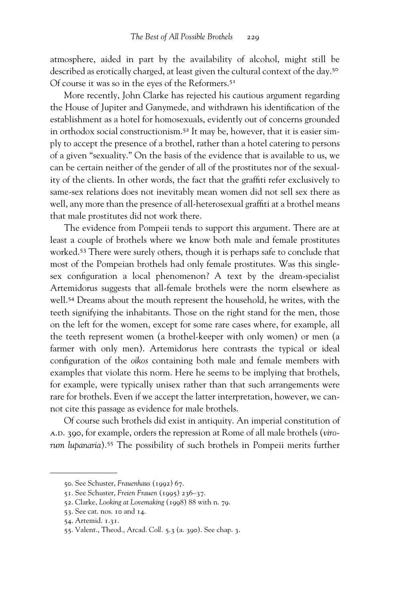atmosphere, aided in part by the availability of alcohol, might still be described as erotically charged, at least given the cultural context of the day.50 Of course it was so in the eyes of the Reformers.51

More recently, John Clarke has rejected his cautious argument regarding the House of Jupiter and Ganymede, and withdrawn his identification of the establishment as a hotel for homosexuals, evidently out of concerns grounded in orthodox social constructionism.<sup>52</sup> It may be, however, that it is easier simply to accept the presence of a brothel, rather than a hotel catering to persons of a given "sexuality." On the basis of the evidence that is available to us, we can be certain neither of the gender of all of the prostitutes nor of the sexuality of the clients. In other words, the fact that the graffiti refer exclusively to same-sex relations does not inevitably mean women did not sell sex there as well, any more than the presence of all-heterosexual graffiti at a brothel means that male prostitutes did not work there.

The evidence from Pompeii tends to support this argument. There are at least a couple of brothels where we know both male and female prostitutes worked.53 There were surely others, though it is perhaps safe to conclude that most of the Pompeian brothels had only female prostitutes. Was this singlesex configuration a local phenomenon? A text by the dream-specialist Artemidorus suggests that all-female brothels were the norm elsewhere as well.54 Dreams about the mouth represent the household, he writes, with the teeth signifying the inhabitants. Those on the right stand for the men, those on the left for the women, except for some rare cases where, for example, all the teeth represent women (a brothel-keeper with only women) or men (a farmer with only men). Artemidorus here contrasts the typical or ideal configuration of the *oikos* containing both male and female members with examples that violate this norm. Here he seems to be implying that brothels, for example, were typically unisex rather than that such arrangements were rare for brothels. Even if we accept the latter interpretation, however, we cannot cite this passage as evidence for male brothels.

Of course such brothels did exist in antiquity. An imperial constitution of A.D. 390, for example, orders the repression at Rome of all male brothels (*virorum lupanaria*).55 The possibility of such brothels in Pompeii merits further

<sup>50.</sup> See Schuster, *Frauenhaus* (1992) 67.

<sup>51.</sup> See Schuster, *Freien Frauen* (1995) 236–37.

<sup>52.</sup> Clarke, *Looking at Lovemaking* (1998) 88 with n. 79.

<sup>53.</sup> See cat. nos. 10 and 14.

<sup>54.</sup> Artemid. 1.31.

<sup>55.</sup> Valent., Theod., Arcad. *Coll.* 5.3 (a. 390). See chap. 3.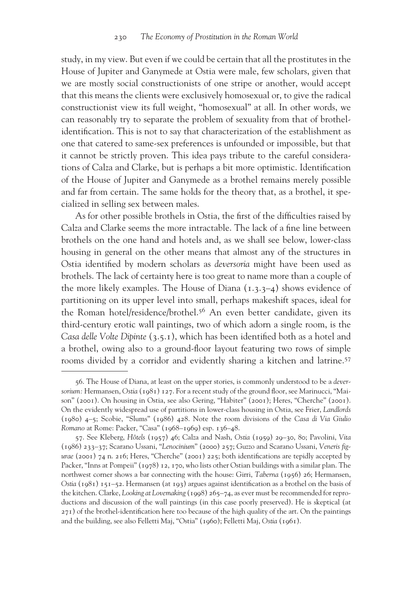study, in my view. But even if we could be certain that all the prostitutes in the House of Jupiter and Ganymede at Ostia were male, few scholars, given that we are mostly social constructionists of one stripe or another, would accept that this means the clients were exclusively homosexual or, to give the radical constructionist view its full weight, "homosexual" at all. In other words, we can reasonably try to separate the problem of sexuality from that of brothelidentification. This is not to say that characterization of the establishment as one that catered to same-sex preferences is unfounded or impossible, but that it cannot be strictly proven. This idea pays tribute to the careful considerations of Calza and Clarke, but is perhaps a bit more optimistic. Identification of the House of Jupiter and Ganymede as a brothel remains merely possible and far from certain. The same holds for the theory that, as a brothel, it specialized in selling sex between males.

As for other possible brothels in Ostia, the first of the difficulties raised by Calza and Clarke seems the more intractable. The lack of a fine line between brothels on the one hand and hotels and, as we shall see below, lower-class housing in general on the other means that almost any of the structures in Ostia identified by modern scholars as *deversoria* might have been used as brothels. The lack of certainty here is too great to name more than a couple of the more likely examples. The House of Diana  $(1.3.3-4)$  shows evidence of partitioning on its upper level into small, perhaps makeshift spaces, ideal for the Roman hotel/residence/brothel.<sup>56</sup> An even better candidate, given its third-century erotic wall paintings, two of which adorn a single room, is the *Casa delle Volte Dipinte* (3.5.1), which has been identified both as a hotel and a brothel, owing also to a ground-floor layout featuring two rows of simple rooms divided by a corridor and evidently sharing a kitchen and latrine.57

<sup>56.</sup> The House of Diana, at least on the upper stories, is commonly understood to be a *deversorium:* Hermansen, Ostia (1981) 127. For a recent study of the ground floor, see Marinucci, "Maison" (2001). On housing in Ostia, see also Gering, "Habiter" (2001); Heres, "Cherche" (2001). On the evidently widespread use of partitions in lower-class housing in Ostia, see Frier, *Landlords* (1980) 4–5; Scobie, "Slums" (1986) 428. Note the room divisions of the *Casa di Via Giulio Romano* at Rome: Packer, "Casa" (1968–1969) esp. 136–48.

<sup>57.</sup> See Kleberg, *Hôtels* (1957) 46; Calza and Nash, *Ostia* (1959) 29–30, 80; Pavolini, *Vita* (1986) 233–37; Scarano Ussani, "*Lenocinium*" (2000) 257; Guzzo and Scarano Ussani, *Veneris figurae* (2001) 74 n. 216; Heres, "Cherche" (2001) 225; both identifications are tepidly accepted by Packer, "Inns at Pompeii" (1978) 12, 170, who lists other Ostian buildings with a similar plan. The northwest corner shows a bar connecting with the house: Girri, *Taberna* (1956) 26; Hermansen, *Ostia* (1981) 151–52. Hermansen (at 193) argues against identification as a brothel on the basis of the kitchen. Clarke, *Looking at Lovemaking* (1998) 265–74, as ever must be recommended for reproductions and discussion of the wall paintings (in this case poorly preserved). He is skeptical (at  $271$ ) of the brothel-identification here too because of the high quality of the art. On the paintings and the building, see also Felletti Maj, "Ostia" (1960); Felletti Maj, *Ostia* (1961).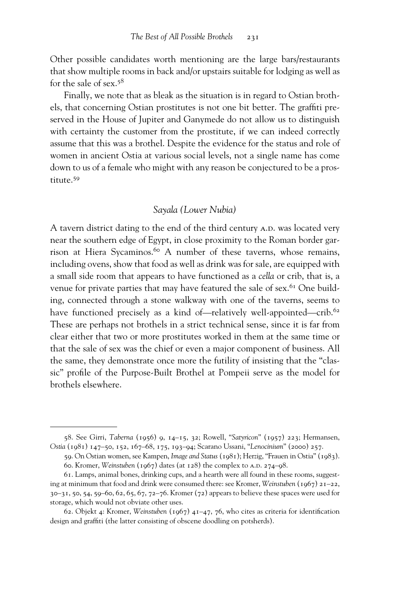Other possible candidates worth mentioning are the large bars/restaurants that show multiple rooms in back and/or upstairs suitable for lodging as well as for the sale of sex.58

Finally, we note that as bleak as the situation is in regard to Ostian brothels, that concerning Ostian prostitutes is not one bit better. The graffiti preserved in the House of Jupiter and Ganymede do not allow us to distinguish with certainty the customer from the prostitute, if we can indeed correctly assume that this was a brothel. Despite the evidence for the status and role of women in ancient Ostia at various social levels, not a single name has come down to us of a female who might with any reason be conjectured to be a prostitute.59

# *Sayala (Lower Nubia)*

A tavern district dating to the end of the third century A.D. was located very near the southern edge of Egypt, in close proximity to the Roman border garrison at Hiera Sycaminos.<sup>60</sup> A number of these taverns, whose remains, including ovens, show that food as well as drink was for sale, are equipped with a small side room that appears to have functioned as a *cella* or crib, that is, a venue for private parties that may have featured the sale of sex.<sup>61</sup> One building, connected through a stone walkway with one of the taverns, seems to have functioned precisely as a kind of—relatively well-appointed—crib.<sup>62</sup> These are perhaps not brothels in a strict technical sense, since it is far from clear either that two or more prostitutes worked in them at the same time or that the sale of sex was the chief or even a major component of business. All the same, they demonstrate once more the futility of insisting that the "classic" profile of the Purpose-Built Brothel at Pompeii serve as the model for brothels elsewhere.

<sup>58.</sup> See Girri, *Taberna* (1956) 9, 14–15, 32; Rowell, "*Satyricon*" (1957) 223; Hermansen, *Ostia* (1981) 147–50, 152, 167–68, 175, 193–94; Scarano Ussani, "*Lenocinium*" (2000) 257.

<sup>59.</sup> On Ostian women, see Kampen, *Image and Status* (1981); Herzig, "Frauen in Ostia" (1983). 60. Kromer, *Weinstuben* (1967) dates (at 128) the complex to A.D. 274–98.

<sup>61.</sup> Lamps, animal bones, drinking cups, and a hearth were all found in these rooms, suggesting at minimum that food and drink were consumed there: see Kromer, *Weinstuben* (1967) 21–22, 30–31, 50, 54, 59–60, 62, 65, 67, 72–76. Kromer (72) appears to believe these spaces were used for storage, which would not obviate other uses.

<sup>62.</sup> Objekt 4: Kromer, *Weinstuben* (1967) 41–47, 76, who cites as criteria for identification design and graffiti (the latter consisting of obscene doodling on potsherds).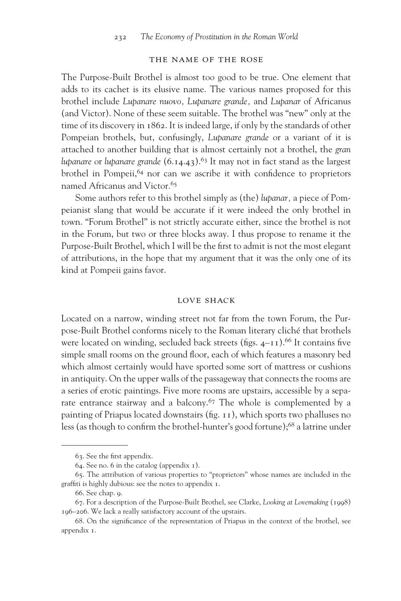## the name of the rose

The Purpose-Built Brothel is almost too good to be true. One element that adds to its cachet is its elusive name. The various names proposed for this brothel include *Lupanare nuovo, Lupanare grande,* and *Lupanar* of Africanus (and Victor). None of these seem suitable. The brothel was "new" only at the time of its discovery in 1862. It is indeed large, if only by the standards of other Pompeian brothels, but, confusingly, *Lupanare grande* or a variant of it is attached to another building that is almost certainly not a brothel, the *gran lupanare* or *lupanare grande* (6.14.43).63 It may not in fact stand as the largest brothel in Pompeii, $64$  nor can we ascribe it with confidence to proprietors named Africanus and Victor.<sup>65</sup>

Some authors refer to this brothel simply as (the) *lupanar,* a piece of Pompeianist slang that would be accurate if it were indeed the only brothel in town. "Forum Brothel" is not strictly accurate either, since the brothel is not in the Forum, but two or three blocks away. I thus propose to rename it the Purpose-Built Brothel, which I will be the first to admit is not the most elegant of attributions, in the hope that my argument that it was the only one of its kind at Pompeii gains favor.

#### love shack

Located on a narrow, winding street not far from the town Forum, the Purpose-Built Brothel conforms nicely to the Roman literary cliché that brothels were located on winding, secluded back streets (figs.  $4-11$ ).<sup>66</sup> It contains five simple small rooms on the ground floor, each of which features a masonry bed which almost certainly would have sported some sort of mattress or cushions in antiquity. On the upper walls of the passageway that connects the rooms are a series of erotic paintings. Five more rooms are upstairs, accessible by a separate entrance stairway and a balcony.<sup>67</sup> The whole is complemented by a painting of Priapus located downstairs  $(f_1g, 11)$ , which sports two phalluses no less (as though to confirm the brothel-hunter's good fortune);<sup>68</sup> a latrine under

<sup>63.</sup> See the first appendix.

<sup>64.</sup> See no. 6 in the catalog (appendix 1).

<sup>65.</sup> The attribution of various properties to "proprietors" whose names are included in the graffiti is highly dubious: see the notes to appendix 1.

<sup>66.</sup> See chap. 9.

<sup>67.</sup> For a description of the Purpose-Built Brothel, see Clarke, *Looking at Lovemaking* (1998) 196–206. We lack a really satisfactory account of the upstairs.

<sup>68.</sup> On the significance of the representation of Priapus in the context of the brothel, see appendix 1.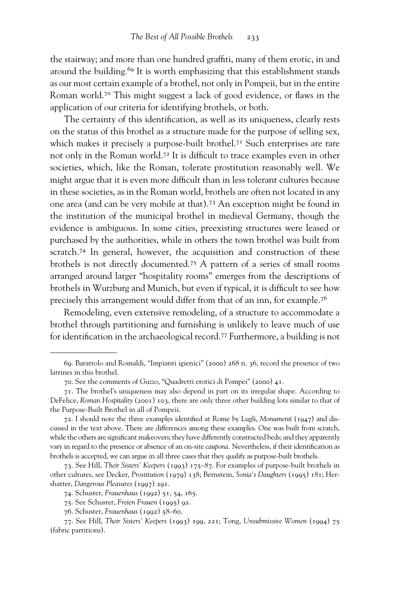the stairway; and more than one hundred graffiti, many of them erotic, in and around the building.<sup>69</sup> It is worth emphasizing that this establishment stands as our most certain example of a brothel, not only in Pompeii, but in the entire Roman world.<sup>70</sup> This might suggest a lack of good evidence, or flaws in the application of our criteria for identifying brothels, or both.

The certainty of this identification, as well as its uniqueness, clearly rests on the status of this brothel as a structure made for the purpose of selling sex, which makes it precisely a purpose-built brothel.<sup>71</sup> Such enterprises are rare not only in the Roman world.<sup>72</sup> It is difficult to trace examples even in other societies, which, like the Roman, tolerate prostitution reasonably well. We might argue that it is even more difficult than in less tolerant cultures because in these societies, as in the Roman world, brothels are often not located in any one area (and can be very mobile at that).73 An exception might be found in the institution of the municipal brothel in medieval Germany, though the evidence is ambiguous. In some cities, preexisting structures were leased or purchased by the authorities, while in others the town brothel was built from scratch.74 In general, however, the acquisition and construction of these brothels is not directly documented.75 A pattern of a series of small rooms arranged around larger "hospitality rooms" emerges from the descriptions of brothels in Wurzburg and Munich, but even if typical, it is difficult to see how precisely this arrangement would differ from that of an inn, for example.76

Remodeling, even extensive remodeling, of a structure to accommodate a brothel through partitioning and furnishing is unlikely to leave much of use for identification in the archaeological record.<sup>77</sup> Furthermore, a building is not

<sup>69.</sup> Barattolo and Romaldi, "Impianti igienici" (2000) 268 n. 36, record the presence of two latrines in this brothel.

<sup>70.</sup> See the comments of Guzzo, "Quadretti erotici di Pompei" (2000) 41.

<sup>71.</sup> The brothel's uniqueness may also depend in part on its irregular shape. According to DeFelice, *Roman Hospitality* (2001) 103, there are only three other building lots similar to that of the Purpose-Built Brothel in all of Pompeii.

<sup>72.</sup> I should note the three examples identified at Rome by Lugli, *Monumenti* (1947) and discussed in the text above. There are differences among these examples. One was built from scratch, while the others are significant makeovers; they have differently constructed beds; and they apparently vary in regard to the presence or absence of an on-site *caupona*. Nevertheless, if their identification as brothels is accepted, we can argue in all three cases that they qualify as purpose-built brothels.

<sup>73.</sup> See Hill, *Their Sisters' Keepers* (1993) 175–87. For examples of purpose-built brothels in other cultures, see Decker, *Prostitution* (1979) 138; Bernstein, *Sonia's Daughters* (1995) 181; Hershatter, *Dangerous Pleasures* (1997) 291.

<sup>74.</sup> Schuster, *Frauenhaus* (1992) 51, 54, 165.

<sup>75.</sup> See Schuster, *Freien Frauen* (1995) 92.

<sup>76.</sup> Schuster, *Frauenhaus* (1992) 58–60.

<sup>77.</sup> See Hill, *Their Sisters' Keepers* (1993) 199, 221; Tong, *Unsubmissive Women* (1994) 75 (fabric partitions).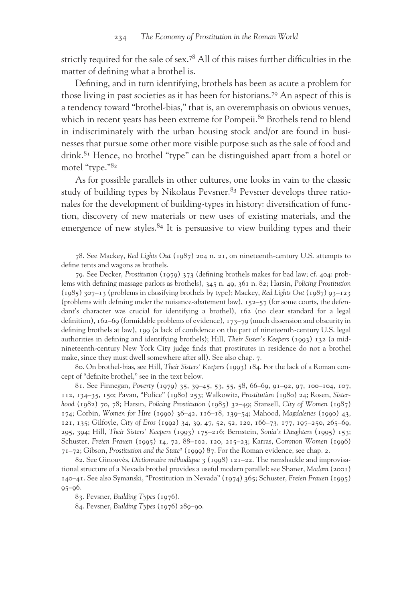strictly required for the sale of sex.<sup>78</sup> All of this raises further difficulties in the matter of defining what a brothel is.

Defining, and in turn identifying, brothels has been as acute a problem for those living in past societies as it has been for historians.79 An aspect of this is a tendency toward "brothel-bias," that is, an overemphasis on obvious venues, which in recent years has been extreme for Pompeii.<sup>80</sup> Brothels tend to blend in indiscriminately with the urban housing stock and/or are found in businesses that pursue some other more visible purpose such as the sale of food and drink.81 Hence, no brothel "type" can be distinguished apart from a hotel or motel "type."82

As for possible parallels in other cultures, one looks in vain to the classic study of building types by Nikolaus Pevsner.<sup>83</sup> Pevsner develops three rationales for the development of building-types in history: diversification of function, discovery of new materials or new uses of existing materials, and the emergence of new styles.<sup>84</sup> It is persuasive to view building types and their

80. On brothel-bias, see Hill, *Their Sisters' Keepers* (1993) 184. For the lack of a Roman concept of "definite brothel," see in the text below.

81. See Finnegan, *Poverty* (1979) 35, 39–45, 53, 55, 58, 66–69, 91–92, 97, 100–104, 107, 112, 134–35, 150; Pavan, "Police" (1980) 253; Walkowitz, *Prostitution* (1980) 24; Rosen, *Sisterhood* (1982) 70, 78; Harsin, *Policing Prostitution* (1985) 32–49; Stansell, *City of Women* (1987) 174; Corbin, *Women for Hire* (1990) 36–42, 116–18, 139–54; Mahood, *Magdalenes* (1990) 43, 121, 135; Gilfoyle, *City of Eros* (1992) 34, 39, 47, 52, 52, 120, 166–73, 177, 197–250, 265–69, 295, 394; Hill, *Their Sisters' Keepers* (1993) 175–216; Bernstein, *Sonia's Daughters* (1995) 153; Schuster, *Freien Frauen* (1995) 14, 72, 88–102, 120, 215–23; Karras, *Common Women* (1996) 71–72; Gibson, *Prostitution and the State*<sup>2</sup> (1999) 87. For the Roman evidence, see chap. 2.

82. See Ginouvès, *Dictionnaire méthodique* 3 (1998) 121–22. The ramshackle and improvisational structure of a Nevada brothel provides a useful modern parallel: see Shaner, *Madam* (2001) 140–41. See also Symanski, "Prostitution in Nevada" (1974) 365; Schuster, *Freien Frauen* (1995) 95–96.

<sup>78.</sup> See Mackey, *Red Lights Out* (1987) 204 n. 21, on nineteenth-century U.S. attempts to define tents and wagons as brothels.

<sup>79.</sup> See Decker, *Prostitution* (1979) 373 (defining brothels makes for bad law; cf. 404: problems with defining massage parlors as brothels), 345 n. 49, 361 n. 82; Harsin, *Policing Prostitution* (1985) 307–13 (problems in classifying brothels by type); Mackey, *Red Lights Out* (1987) 93–123 (problems with defining under the nuisance-abatement law),  $152-57$  (for some courts, the defendant's character was crucial for identifying a brothel), 162 (no clear standard for a legal definition),  $162-69$  (formidable problems of evidence),  $173-79$  (much dissension and obscurity in defining brothels at law), 199 (a lack of confidence on the part of nineteenth-century U.S. legal authorities in defining and identifying brothels); Hill, *Their Sister's Keepers* (1993) 132 (a midnineteenth-century New York City judge finds that prostitutes in residence do not a brothel make, since they must dwell somewhere after all). See also chap. 7.

<sup>83.</sup> Pevsner, *Building Types* (1976).

<sup>84.</sup> Pevsner, *Building Types* (1976) 289–90.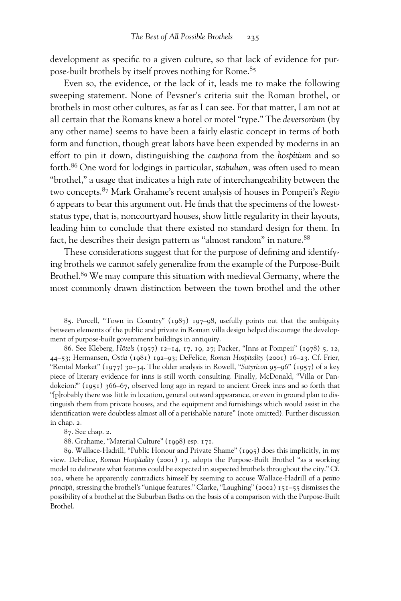development as specific to a given culture, so that lack of evidence for purpose-built brothels by itself proves nothing for Rome.85

Even so, the evidence, or the lack of it, leads me to make the following sweeping statement. None of Pevsner's criteria suit the Roman brothel, or brothels in most other cultures, as far as I can see. For that matter, I am not at all certain that the Romans knew a hotel or motel "type." The *deversorium* (by any other name) seems to have been a fairly elastic concept in terms of both form and function, though great labors have been expended by moderns in an effort to pin it down, distinguishing the *caupona* from the *hospitium* and so forth.86 One word for lodgings in particular, *stabulum,* was often used to mean "brothel," a usage that indicates a high rate of interchangeability between the two concepts.87 Mark Grahame's recent analysis of houses in Pompeii's *Regio* 6 appears to bear this argument out. He finds that the specimens of the loweststatus type, that is, noncourtyard houses, show little regularity in their layouts, leading him to conclude that there existed no standard design for them. In fact, he describes their design pattern as "almost random" in nature.<sup>88</sup>

These considerations suggest that for the purpose of defining and identifying brothels we cannot safely generalize from the example of the Purpose-Built Brothel.<sup>89</sup> We may compare this situation with medieval Germany, where the most commonly drawn distinction between the town brothel and the other

<sup>85.</sup> Purcell, "Town in Country" (1987) 197–98, usefully points out that the ambiguity between elements of the public and private in Roman villa design helped discourage the development of purpose-built government buildings in antiquity.

<sup>86.</sup> See Kleberg, *Hôtels* (1957) 12–14, 17, 19, 27; Packer, "Inns at Pompeii" (1978) 5, 12, 44–53; Hermansen, *Ostia* (1981) 192–93; DeFelice, *Roman Hospitality* (2001) 16–23. Cf. Frier, "Rental Market" (1977) 30–34. The older analysis in Rowell, "*Satyricon* 95–96" (1957) of a key piece of literary evidence for inns is still worth consulting. Finally, McDonald, "Villa or Pandokeion?" (1951) 366–67, observed long ago in regard to ancient Greek inns and so forth that "[p]robably there was little in location, general outward appearance, or even in ground plan to distinguish them from private houses, and the equipment and furnishings which would assist in the identification were doubtless almost all of a perishable nature" (note omitted). Further discussion in chap. 2.

<sup>87.</sup> See chap. 2.

<sup>88.</sup> Grahame, "Material Culture" (1998) esp. 171.

<sup>89.</sup> Wallace-Hadrill, "Public Honour and Private Shame" (1995) does this implicitly, in my view. DeFelice, *Roman Hospitality* (2001) 13, adopts the Purpose-Built Brothel "as a working model to delineate what features could be expected in suspected brothels throughout the city." Cf. 102, where he apparently contradicts himself by seeming to accuse Wallace-Hadrill of a *petitio principii,* stressing the brothel's "unique features." Clarke, "Laughing" (2002) 151–55 dismisses the possibility of a brothel at the Suburban Baths on the basis of a comparison with the Purpose-Built Brothel.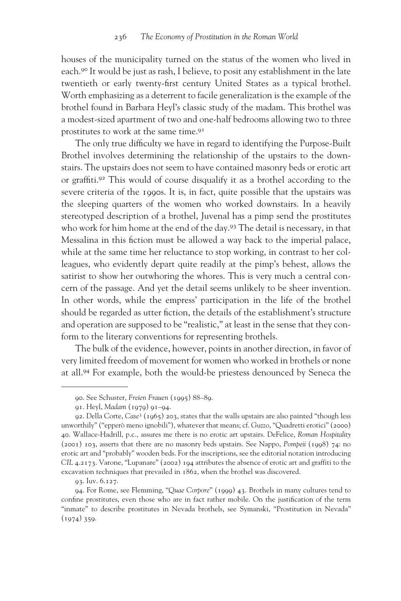houses of the municipality turned on the status of the women who lived in each.90 It would be just as rash, I believe, to posit any establishment in the late twentieth or early twenty-first century United States as a typical brothel. Worth emphasizing as a deterrent to facile generalization is the example of the brothel found in Barbara Heyl's classic study of the madam. This brothel was a modest-sized apartment of two and one-half bedrooms allowing two to three prostitutes to work at the same time.91

The only true difficulty we have in regard to identifying the Purpose-Built Brothel involves determining the relationship of the upstairs to the downstairs. The upstairs does not seem to have contained masonry beds or erotic art or graffiti.<sup>92</sup> This would of course disqualify it as a brothel according to the severe criteria of the 1990s. It is, in fact, quite possible that the upstairs was the sleeping quarters of the women who worked downstairs. In a heavily stereotyped description of a brothel, Juvenal has a pimp send the prostitutes who work for him home at the end of the day.<sup>93</sup> The detail is necessary, in that Messalina in this fiction must be allowed a way back to the imperial palace, while at the same time her reluctance to stop working, in contrast to her colleagues, who evidently depart quite readily at the pimp's behest, allows the satirist to show her outwhoring the whores. This is very much a central concern of the passage. And yet the detail seems unlikely to be sheer invention. In other words, while the empress' participation in the life of the brothel should be regarded as utter fiction, the details of the establishment's structure and operation are supposed to be "realistic," at least in the sense that they conform to the literary conventions for representing brothels.

The bulk of the evidence, however, points in another direction, in favor of very limited freedom of movement for women who worked in brothels or none at all.94 For example, both the would-be priestess denounced by Seneca the

<sup>90.</sup> See Schuster, *Freien Frauen* (1995) 88–89.

<sup>91.</sup> Heyl, *Madam* (1979) 91–94.

<sup>92.</sup> Della Corte, *Case*<sup>3</sup> (1965) 203, states that the walls upstairs are also painted "though less unworthily" ("epperò meno ignobili"), whatever that means; cf. Guzzo, "Quadretti erotici" (2000) 40. Wallace-Hadrill, p.c., assures me there is no erotic art upstairs. DeFelice, *Roman Hospitality* (2001) 103, asserts that there are no masonry beds upstairs. See Nappo, *Pompeii* (1998) 74: no erotic art and "probably" wooden beds. For the inscriptions, see the editorial notation introducing *CIL* 4.2173. Varone, "Lupanare" (2002) 194 attributes the absence of erotic art and graffiti to the excavation techniques that prevailed in 1862, when the brothel was discovered.

<sup>93.</sup> Iuv. 6.127.

<sup>94.</sup> For Rome, see Flemming, "*Quae Corpore*" (1999) 43. Brothels in many cultures tend to confine prostitutes, even those who are in fact rather mobile. On the justification of the term "inmate" to describe prostitutes in Nevada brothels, see Symanski, "Prostitution in Nevada"  $(1974)$  359.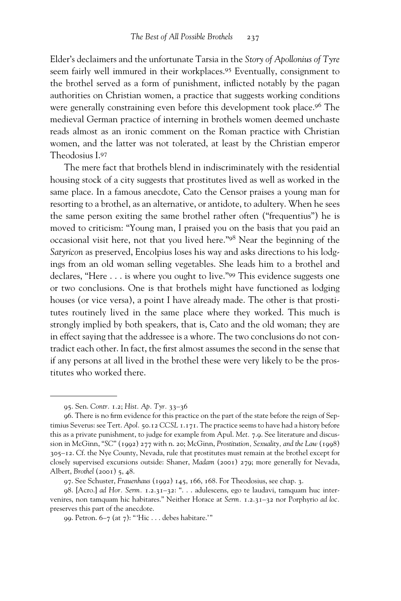Elder's declaimers and the unfortunate Tarsia in the *Story of Apollonius of Tyre* seem fairly well immured in their workplaces.95 Eventually, consignment to the brothel served as a form of punishment, inflicted notably by the pagan authorities on Christian women, a practice that suggests working conditions were generally constraining even before this development took place.<sup>96</sup> The medieval German practice of interning in brothels women deemed unchaste reads almost as an ironic comment on the Roman practice with Christian women, and the latter was not tolerated, at least by the Christian emperor Theodosius I.97

The mere fact that brothels blend in indiscriminately with the residential housing stock of a city suggests that prostitutes lived as well as worked in the same place. In a famous anecdote, Cato the Censor praises a young man for resorting to a brothel, as an alternative, or antidote, to adultery. When he sees the same person exiting the same brothel rather often ("frequentius") he is moved to criticism: "Young man, I praised you on the basis that you paid an occasional visit here, not that you lived here."98 Near the beginning of the *Satyricon* as preserved, Encolpius loses his way and asks directions to his lodgings from an old woman selling vegetables. She leads him to a brothel and declares, "Here . . . is where you ought to live."99 This evidence suggests one or two conclusions. One is that brothels might have functioned as lodging houses (or vice versa), a point I have already made. The other is that prostitutes routinely lived in the same place where they worked. This much is strongly implied by both speakers, that is, Cato and the old woman; they are in effect saying that the addressee is a whore. The two conclusions do not contradict each other. In fact, the first almost assumes the second in the sense that if any persons at all lived in the brothel these were very likely to be the prostitutes who worked there.

<sup>95.</sup> Sen. *Contr.* 1.2; *Hist. Ap. Tyr.* 33–36

<sup>96.</sup> There is no firm evidence for this practice on the part of the state before the reign of Septimius Severus: see Tert. *Apol.* 50.12 *CCSL* 1.171. The practice seems to have had a history before this as a private punishment, to judge for example from Apul. *Met.* 7.9. See literature and discussion in McGinn, "*SC*" (1992) 277 with n. 20; McGinn, *Prostitution, Sexuality, and the Law* (1998) 305–12. Cf. the Nye County, Nevada, rule that prostitutes must remain at the brothel except for closely supervised excursions outside: Shaner, *Madam* (2001) 279; more generally for Nevada, Albert, *Brothel* (2001) 5, 48.

<sup>97.</sup> See Schuster, *Frauenhaus* (1992) 145, 166, 168. For Theodosius, see chap. 3.

<sup>98. [</sup>Acro.] *ad Hor. Serm.* 1.2.31–32: ". . . adulescens, ego te laudavi, tamquam huc intervenires, non tamquam hic habitares." Neither Horace at *Serm.* 1.2.31–32 nor Porphyrio *ad loc.* preserves this part of the anecdote.

<sup>99.</sup> Petron. 6–7 (at 7): "'Hic . . . debes habitare.'"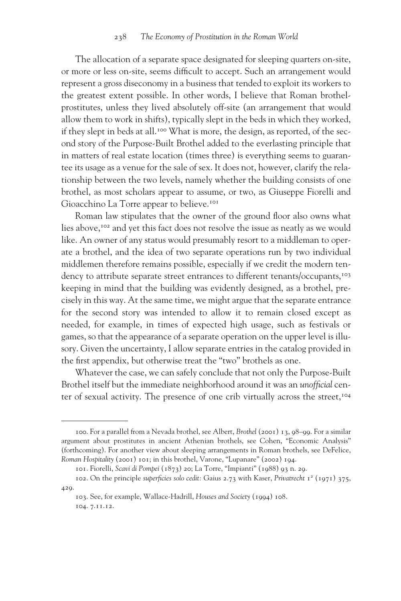The allocation of a separate space designated for sleeping quarters on-site, or more or less on-site, seems difficult to accept. Such an arrangement would represent a gross diseconomy in a business that tended to exploit its workers to the greatest extent possible. In other words, I believe that Roman brothelprostitutes, unless they lived absolutely off-site (an arrangement that would allow them to work in shifts), typically slept in the beds in which they worked, if they slept in beds at all.<sup>100</sup> What is more, the design, as reported, of the second story of the Purpose-Built Brothel added to the everlasting principle that in matters of real estate location (times three) is everything seems to guarantee its usage as a venue for the sale of sex. It does not, however, clarify the relationship between the two levels, namely whether the building consists of one brothel, as most scholars appear to assume, or two, as Giuseppe Fiorelli and Gioacchino La Torre appear to believe.<sup>101</sup>

Roman law stipulates that the owner of the ground floor also owns what lies above,<sup>102</sup> and yet this fact does not resolve the issue as neatly as we would like. An owner of any status would presumably resort to a middleman to operate a brothel, and the idea of two separate operations run by two individual middlemen therefore remains possible, especially if we credit the modern tendency to attribute separate street entrances to different tenants/occupants,<sup>103</sup> keeping in mind that the building was evidently designed, as a brothel, precisely in this way. At the same time, we might argue that the separate entrance for the second story was intended to allow it to remain closed except as needed, for example, in times of expected high usage, such as festivals or games, so that the appearance of a separate operation on the upper level is illusory. Given the uncertainty, I allow separate entries in the catalog provided in the first appendix, but otherwise treat the "two" brothels as one.

Whatever the case, we can safely conclude that not only the Purpose-Built Brothel itself but the immediate neighborhood around it was an *unofficial* center of sexual activity. The presence of one crib virtually across the street,<sup>104</sup>

<sup>100.</sup> For a parallel from a Nevada brothel, see Albert, *Brothel* (2001) 13, 98–99. For a similar argument about prostitutes in ancient Athenian brothels, see Cohen, "Economic Analysis" (forthcoming). For another view about sleeping arrangements in Roman brothels, see DeFelice, *Roman Hospitality* (2001) 101; in this brothel, Varone, "Lupanare" (2002) 194.

<sup>101.</sup> Fiorelli, *Scavi di Pompei* (1873) 20; La Torre, "Impianti" (1988) 93 n. 29.

<sup>102.</sup> On the principle *superficies solo cedit:* Gaius 2.73 with Kaser, *Privatrecht* 1<sup>2</sup> (1971) 375, 429.

<sup>103.</sup> See, for example, Wallace-Hadrill, *Houses and Society* (1994) 108. 104. 7.11.12.